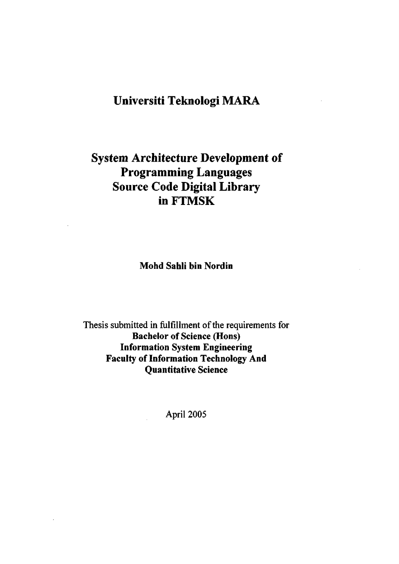## **Universiti Teknologi MARA**

# **System Architecture Development of Programming Languages Source Code Digital Library in FTMSK**

**Mohd Sahli bin Nordin** 

Thesis submitted in fulfillment of the requirements for **Bachelor of Science (Hons) Information System Engineering Faculty of Information Technology And Quantitative Science** 

April 2005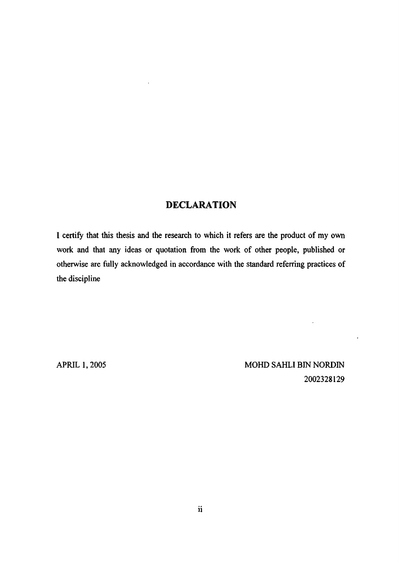### **DECLARATION**

 $\overline{\phantom{a}}$ 

I certify that this thesis and the research to which it refers are the product of my own work and that any ideas or quotation from the work of other people, published or otherwise are fully acknowledged in accordance with the standard referring practices of the discipline

APRIL 1, 2005 MOHD SAHLI BIN NORDIN 2002328129

 $\hat{\mathcal{L}}$ 

 $\hat{\boldsymbol{\epsilon}}$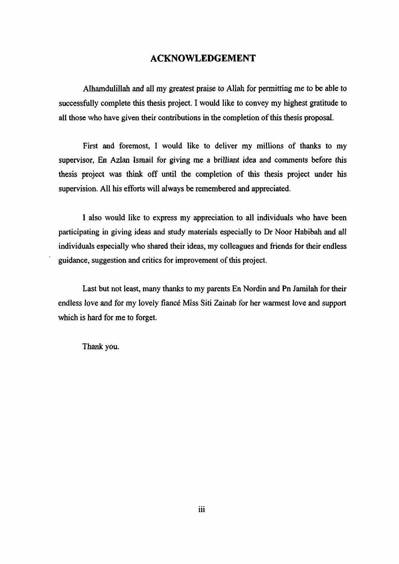### ACKNOWLEDGEMENT

Alhamdulillah and all my greatest praise to Allah for permitting me to be able to successfully complete this thesis project. I would like to convey my highest gratitude to all those who have given their contributions in the completion of this thesis proposal.

First and foremost, I would like to deliver my millions of thanks to my supervisor, En Azlan Ismail for giving me a brilliant idea and comments before this thesis project was think off until the completion of this thesis project under his supervision. All his efforts will always be remembered and appreciated.

I also would like to express my appreciation to all individuals who have been participating in giving ideas and study materials especially to Dr Noor Habibah and all individuals especially who shared their ideas, my colleagues and friends for their endless guidance, suggestion and critics for improvement of this project.

Last but not least, many thanks to my parents En Nordin and Pn Jamilah for their endless love and for my lovely fiancé Miss Siti Zainab for her warmest love and support which is hard for me to forget.

Thank you.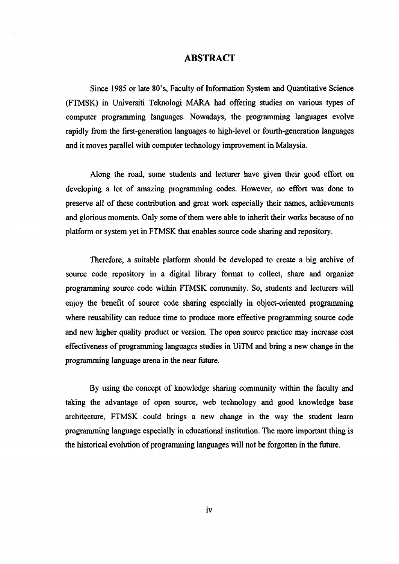#### **ABSTRACT**

Since 1985 or late 80\*s, Faculty of Information System and Quantitative Science (FTMSK) in Universiti Teknologi MARA had offering studies on various types of computer programming languages. Nowadays, the programming languages evolve rapidly from the first-generation languages to high-level or fourth-generation languages and it moves parallel with computer technology improvement in Malaysia.

Along the road, some students and lecturer have given their good effort on developing a lot of amazing programming codes. However, no effort was done to preserve all of these contribution and great work especially their names, achievements and glorious moments. Only some of them were able to inherit their works because of no platform or system yet in FTMSK that enables source code sharing and repository.

Therefore, a suitable platform should be developed to create a big archive of source code repository in a digital library format to collect, share and organize programming source code within FTMSK community. So, students and lecturers will enjoy the benefit of source code sharing especially in object-oriented programming where reusability can reduce time to produce more effective programming source code and new higher quality product or version. The open source practice may increase cost effectiveness of programming languages studies in UiTM and bring a new change in the programming language arena in the near future.

By using the concept of knowledge sharing community within the faculty and taking the advantage of open source, web technology and good knowledge base architecture, FTMSK could brings a new change in the way the student learn programming language especially in educational institution. The more important thing is the historical evolution of programming languages will not be forgotten in the future.